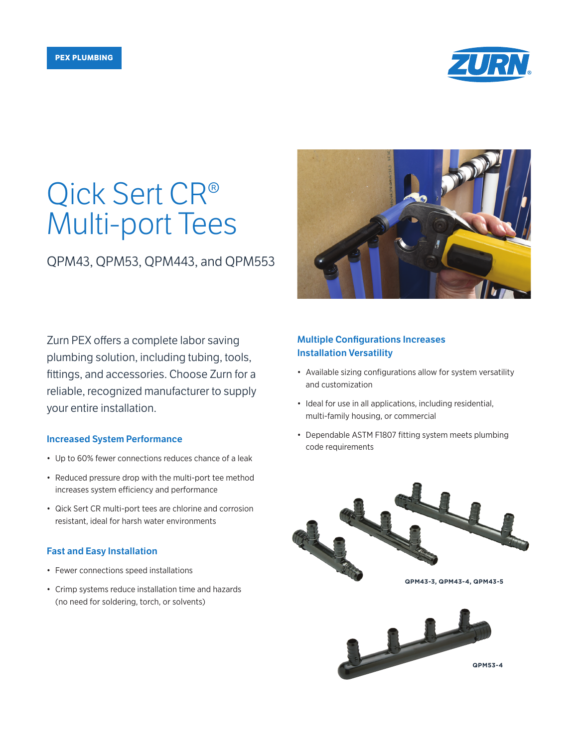

# Qick Sert CR® Multi-port Tees

QPM43, QPM53, QPM443, and QPM553

Zurn PEX offers a complete labor saving plumbing solution, including tubing, tools, fittings, and accessories. Choose Zurn for a reliable, recognized manufacturer to supply your entire installation.

### Increased System Performance

- Up to 60% fewer connections reduces chance of a leak
- Reduced pressure drop with the multi-port tee method increases system efficiency and performance
- Qick Sert CR multi-port tees are chlorine and corrosion resistant, ideal for harsh water environments

# Fast and Easy Installation

- Fewer connections speed installations
- Crimp systems reduce installation time and hazards (no need for soldering, torch, or solvents)



# Multiple Configurations Increases Installation Versatility

- Available sizing configurations allow for system versatility and customization
- Ideal for use in all applications, including residential, multi-family housing, or commercial
- Dependable ASTM F1807 fitting system meets plumbing code requirements